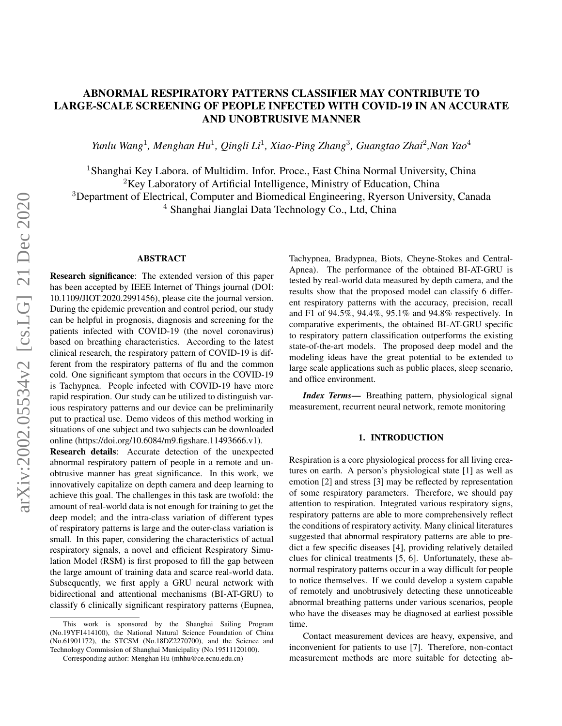# ABNORMAL RESPIRATORY PATTERNS CLASSIFIER MAY CONTRIBUTE TO LARGE-SCALE SCREENING OF PEOPLE INFECTED WITH COVID-19 IN AN ACCURATE AND UNOBTRUSIVE MANNER

*Yunlu Wang*<sup>1</sup> *, Menghan Hu*<sup>1</sup> *, Qingli Li*<sup>1</sup> *, Xiao-Ping Zhang*<sup>3</sup> *, Guangtao Zhai*<sup>2</sup> *,Nan Yao*<sup>4</sup>

<sup>1</sup> Shanghai Key Labora. of Multidim. Infor. Proce., East China Normal University, China  ${}^{2}$ Key Laboratory of Artificial Intelligence, Ministry of Education, China <sup>3</sup>Department of Electrical, Computer and Biomedical Engineering, Ryerson University, Canada <sup>4</sup> Shanghai Jianglai Data Technology Co., Ltd, China

#### ABSTRACT

Research significance: The extended version of this paper has been accepted by IEEE Internet of Things journal (DOI: 10.1109/JIOT.2020.2991456), please cite the journal version. During the epidemic prevention and control period, our study can be helpful in prognosis, diagnosis and screening for the patients infected with COVID-19 (the novel coronavirus) based on breathing characteristics. According to the latest clinical research, the respiratory pattern of COVID-19 is different from the respiratory patterns of flu and the common cold. One significant symptom that occurs in the COVID-19 is Tachypnea. People infected with COVID-19 have more rapid respiration. Our study can be utilized to distinguish various respiratory patterns and our device can be preliminarily put to practical use. Demo videos of this method working in situations of one subject and two subjects can be downloaded online [\(https://doi.org/10.6084/m9.figshare.11493666.v1\)](https://doi.org/10.6084/m9.figshare.11493666.v1).

Research details: Accurate detection of the unexpected abnormal respiratory pattern of people in a remote and unobtrusive manner has great significance. In this work, we innovatively capitalize on depth camera and deep learning to achieve this goal. The challenges in this task are twofold: the amount of real-world data is not enough for training to get the deep model; and the intra-class variation of different types of respiratory patterns is large and the outer-class variation is small. In this paper, considering the characteristics of actual respiratory signals, a novel and efficient Respiratory Simulation Model (RSM) is first proposed to fill the gap between the large amount of training data and scarce real-world data. Subsequently, we first apply a GRU neural network with bidirectional and attentional mechanisms (BI-AT-GRU) to classify 6 clinically significant respiratory patterns (Eupnea,

Tachypnea, Bradypnea, Biots, Cheyne-Stokes and Central-Apnea). The performance of the obtained BI-AT-GRU is tested by real-world data measured by depth camera, and the results show that the proposed model can classify 6 different respiratory patterns with the accuracy, precision, recall and F1 of 94.5%, 94.4%, 95.1% and 94.8% respectively. In comparative experiments, the obtained BI-AT-GRU specific to respiratory pattern classification outperforms the existing state-of-the-art models. The proposed deep model and the modeling ideas have the great potential to be extended to large scale applications such as public places, sleep scenario, and office environment.

*Index Terms*— Breathing pattern, physiological signal measurement, recurrent neural network, remote monitoring

## 1. INTRODUCTION

Respiration is a core physiological process for all living creatures on earth. A person's physiological state [\[1\]](#page-4-0) as well as emotion [\[2\]](#page-4-1) and stress [\[3\]](#page-4-2) may be reflected by representation of some respiratory parameters. Therefore, we should pay attention to respiration. Integrated various respiratory signs, respiratory patterns are able to more comprehensively reflect the conditions of respiratory activity. Many clinical literatures suggested that abnormal respiratory patterns are able to predict a few specific diseases [\[4\]](#page-4-3), providing relatively detailed clues for clinical treatments [\[5,](#page-4-4) [6\]](#page-4-5). Unfortunately, these abnormal respiratory patterns occur in a way difficult for people to notice themselves. If we could develop a system capable of remotely and unobtrusively detecting these unnoticeable abnormal breathing patterns under various scenarios, people who have the diseases may be diagnosed at earliest possible time.

Contact measurement devices are heavy, expensive, and inconvenient for patients to use [\[7\]](#page-4-6). Therefore, non-contact measurement methods are more suitable for detecting ab-

This work is sponsored by the Shanghai Sailing Program (No.19YF1414100), the National Natural Science Foundation of China (No.61901172), the STCSM (No.18DZ2270700), and the Science and Technology Commission of Shanghai Municipality (No.19511120100).

Corresponding author: Menghan Hu (mhhu@ce.ecnu.edu.cn)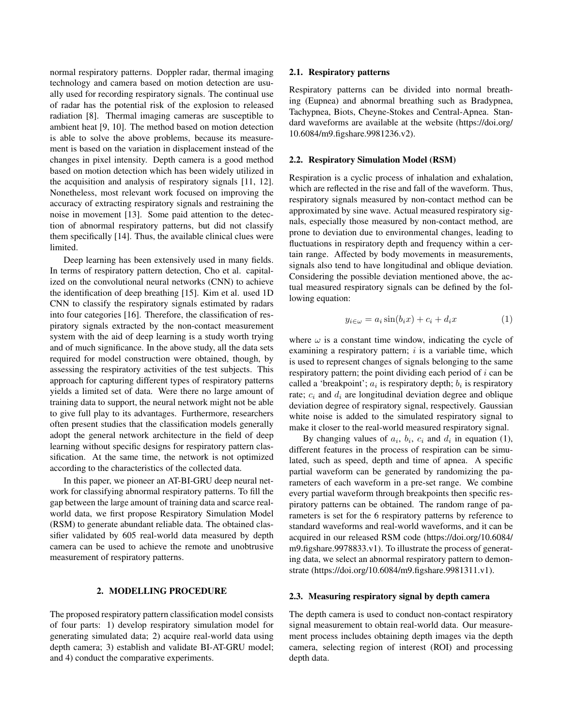normal respiratory patterns. Doppler radar, thermal imaging technology and camera based on motion detection are usually used for recording respiratory signals. The continual use of radar has the potential risk of the explosion to released radiation [\[8\]](#page-4-7). Thermal imaging cameras are susceptible to ambient heat [\[9,](#page-4-8) [10\]](#page-4-9). The method based on motion detection is able to solve the above problems, because its measurement is based on the variation in displacement instead of the changes in pixel intensity. Depth camera is a good method based on motion detection which has been widely utilized in the acquisition and analysis of respiratory signals [\[11,](#page-4-10) [12\]](#page-4-11). Nonetheless, most relevant work focused on improving the accuracy of extracting respiratory signals and restraining the noise in movement [\[13\]](#page-4-12). Some paid attention to the detection of abnormal respiratory patterns, but did not classify them specifically [\[14\]](#page-4-13). Thus, the available clinical clues were limited.

Deep learning has been extensively used in many fields. In terms of respiratory pattern detection, Cho et al. capitalized on the convolutional neural networks (CNN) to achieve the identification of deep breathing [\[15\]](#page-4-14). Kim et al. used 1D CNN to classify the respiratory signals estimated by radars into four categories [\[16\]](#page-4-15). Therefore, the classification of respiratory signals extracted by the non-contact measurement system with the aid of deep learning is a study worth trying and of much significance. In the above study, all the data sets required for model construction were obtained, though, by assessing the respiratory activities of the test subjects. This approach for capturing different types of respiratory patterns yields a limited set of data. Were there no large amount of training data to support, the neural network might not be able to give full play to its advantages. Furthermore, researchers often present studies that the classification models generally adopt the general network architecture in the field of deep learning without specific designs for respiratory pattern classification. At the same time, the network is not optimized according to the characteristics of the collected data.

In this paper, we pioneer an AT-BI-GRU deep neural network for classifying abnormal respiratory patterns. To fill the gap between the large amount of training data and scarce realworld data, we first propose Respiratory Simulation Model (RSM) to generate abundant reliable data. The obtained classifier validated by 605 real-world data measured by depth camera can be used to achieve the remote and unobtrusive measurement of respiratory patterns.

# 2. MODELLING PROCEDURE

The proposed respiratory pattern classification model consists of four parts: 1) develop respiratory simulation model for generating simulated data; 2) acquire real-world data using depth camera; 3) establish and validate BI-AT-GRU model; and 4) conduct the comparative experiments.

#### 2.1. Respiratory patterns

Respiratory patterns can be divided into normal breathing (Eupnea) and abnormal breathing such as Bradypnea, Tachypnea, Biots, Cheyne-Stokes and Central-Apnea. Standard waveforms are available at the website [\(https://doi.org/](https://doi.org/10.6084/m9.figshare.9981236.v2) [10.6084/m9.figshare.9981236.v2\)](https://doi.org/10.6084/m9.figshare.9981236.v2).

#### 2.2. Respiratory Simulation Model (RSM)

Respiration is a cyclic process of inhalation and exhalation, which are reflected in the rise and fall of the waveform. Thus, respiratory signals measured by non-contact method can be approximated by sine wave. Actual measured respiratory signals, especially those measured by non-contact method, are prone to deviation due to environmental changes, leading to fluctuations in respiratory depth and frequency within a certain range. Affected by body movements in measurements, signals also tend to have longitudinal and oblique deviation. Considering the possible deviation mentioned above, the actual measured respiratory signals can be defined by the following equation:

$$
y_{i \in \omega} = a_i \sin(b_i x) + c_i + d_i x \tag{1}
$$

where  $\omega$  is a constant time window, indicating the cycle of examining a respiratory pattern;  $i$  is a variable time, which is used to represent changes of signals belonging to the same respiratory pattern; the point dividing each period of  $i$  can be called a 'breakpoint';  $a_i$  is respiratory depth;  $b_i$  is respiratory rate;  $c_i$  and  $d_i$  are longitudinal deviation degree and oblique deviation degree of respiratory signal, respectively. Gaussian white noise is added to the simulated respiratory signal to make it closer to the real-world measured respiratory signal.

By changing values of  $a_i$ ,  $b_i$ ,  $c_i$  and  $d_i$  in equation (1), different features in the process of respiration can be simulated, such as speed, depth and time of apnea. A specific partial waveform can be generated by randomizing the parameters of each waveform in a pre-set range. We combine every partial waveform through breakpoints then specific respiratory patterns can be obtained. The random range of parameters is set for the 6 respiratory patterns by reference to standard waveforms and real-world waveforms, and it can be acquired in our released RSM [code](https://doi.org/10.6084/m9.figshare.9978833.v1) [\(https://doi.org/10.6084/](https://doi.org/10.6084/m9.figshare.9978833.v1) [m9.figshare.9978833.v1\)](https://doi.org/10.6084/m9.figshare.9978833.v1). To illustrate the process of generating data, we select an abnormal respiratory pattern to demonstrate [\(https://doi.org/10.6084/m9.figshare.9981311.v1\)](https://doi.org/10.6084/m9.figshare.9981311.v1).

## 2.3. Measuring respiratory signal by depth camera

The depth camera is used to conduct non-contact respiratory signal measurement to obtain real-world data. Our measurement process includes obtaining depth images via the depth camera, selecting region of interest (ROI) and processing depth data.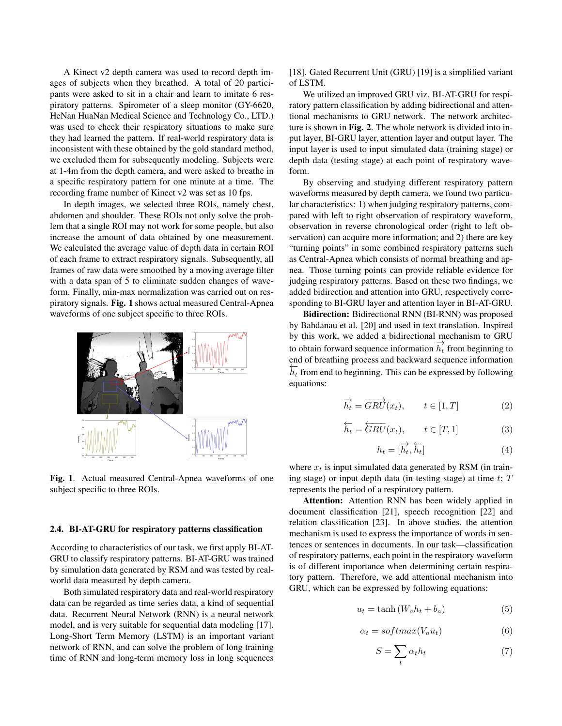A Kinect v2 depth camera was used to record depth images of subjects when they breathed. A total of 20 participants were asked to sit in a chair and learn to imitate 6 respiratory patterns. Spirometer of a sleep monitor (GY-6620, HeNan HuaNan Medical Science and Technology Co., LTD.) was used to check their respiratory situations to make sure they had learned the pattern. If real-world respiratory data is inconsistent with these obtained by the gold standard method, we excluded them for subsequently modeling. Subjects were at 1-4m from the depth camera, and were asked to breathe in a specific respiratory pattern for one minute at a time. The recording frame number of Kinect v2 was set as 10 fps.

In depth images, we selected three ROIs, namely chest, abdomen and shoulder. These ROIs not only solve the problem that a single ROI may not work for some people, but also increase the amount of data obtained by one measurement. We calculated the average value of depth data in certain ROI of each frame to extract respiratory signals. Subsequently, all frames of raw data were smoothed by a moving average filter with a data span of 5 to eliminate sudden changes of waveform. Finally, min-max normalization was carried out on respiratory signals. Fig. [1](#page-2-0) shows actual measured Central-Apnea waveforms of one subject specific to three ROIs.



<span id="page-2-0"></span>Fig. 1. Actual measured Central-Apnea waveforms of one subject specific to three ROIs.

#### 2.4. BI-AT-GRU for respiratory patterns classification

According to characteristics of our task, we first apply BI-AT-GRU to classify respiratory patterns. BI-AT-GRU was trained by simulation data generated by RSM and was tested by realworld data measured by depth camera.

Both simulated respiratory data and real-world respiratory data can be regarded as time series data, a kind of sequential data. Recurrent Neural Network (RNN) is a neural network model, and is very suitable for sequential data modeling [\[17\]](#page-4-16). Long-Short Term Memory (LSTM) is an important variant network of RNN, and can solve the problem of long training time of RNN and long-term memory loss in long sequences

[\[18\]](#page-5-0). Gated Recurrent Unit (GRU) [\[19\]](#page-5-1) is a simplified variant of LSTM.

We utilized an improved GRU viz. BI-AT-GRU for respiratory pattern classification by adding bidirectional and attentional mechanisms to GRU network. The network architecture is shown in Fig. [2](#page-3-0). The whole network is divided into input layer, BI-GRU layer, attention layer and output layer. The input layer is used to input simulated data (training stage) or depth data (testing stage) at each point of respiratory waveform.

By observing and studying different respiratory pattern waveforms measured by depth camera, we found two particular characteristics: 1) when judging respiratory patterns, compared with left to right observation of respiratory waveform, observation in reverse chronological order (right to left observation) can acquire more information; and 2) there are key "turning points" in some combined respiratory patterns such as Central-Apnea which consists of normal breathing and apnea. Those turning points can provide reliable evidence for judging respiratory patterns. Based on these two findings, we added bidirection and attention into GRU, respectively corresponding to BI-GRU layer and attention layer in BI-AT-GRU.

Bidirection: Bidirectional RNN (BI-RNN) was proposed by Bahdanau et al. [\[20\]](#page-5-2) and used in text translation. Inspired by this work, we added a bidirectional mechanism to GRU to obtain forward sequence information  $\overrightarrow{h_t}$  from beginning to to obtain forward sequence information  $\overrightarrow{h_t}$  from beginning to end of breathing process and backward sequence information  $\overline{h_t}$  from end to beginning. This can be expressed by following equations:

$$
\overrightarrow{h_t} = \overrightarrow{GRU}(x_t), \qquad t \in [1, T]
$$
 (2)

$$
\overleftarrow{h_t} = \overleftarrow{GRU}(x_t), \qquad t \in [T, 1] \tag{3}
$$

$$
h_t = [\overrightarrow{h_t}, \overleftarrow{h_t}]
$$
\n(4)

where  $x_t$  is input simulated data generated by RSM (in training stage) or input depth data (in testing stage) at time  $t$ ;  $T$ represents the period of a respiratory pattern.

Attention: Attention RNN has been widely applied in document classification [\[21\]](#page-5-3), speech recognition [\[22\]](#page-5-4) and relation classification [\[23\]](#page-5-5). In above studies, the attention mechanism is used to express the importance of words in sentences or sentences in documents. In our task—classification of respiratory patterns, each point in the respiratory waveform is of different importance when determining certain respiratory pattern. Therefore, we add attentional mechanism into GRU, which can be expressed by following equations:

$$
u_t = \tanh\left(W_a h_t + b_a\right) \tag{5}
$$

$$
\alpha_t = softmax(V_a u_t) \tag{6}
$$

$$
S = \sum_{t} \alpha_t h_t \tag{7}
$$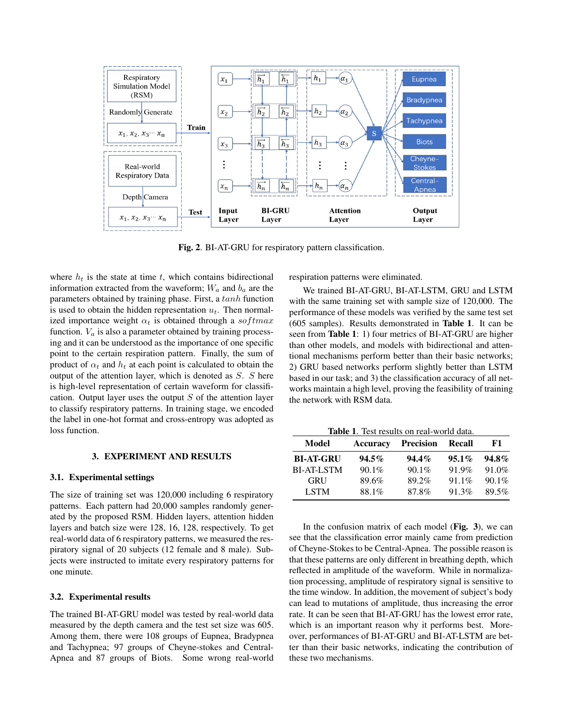

<span id="page-3-0"></span>Fig. 2. BI-AT-GRU for respiratory pattern classification.

where  $h_t$  is the state at time t, which contains bidirectional information extracted from the waveform;  $W_a$  and  $b_a$  are the parameters obtained by training phase. First, a tanh function is used to obtain the hidden representation  $u_t$ . Then normalized importance weight  $\alpha_t$  is obtained through a softmax function.  $V_a$  is also a parameter obtained by training processing and it can be understood as the importance of one specific point to the certain respiration pattern. Finally, the sum of product of  $\alpha_t$  and  $h_t$  at each point is calculated to obtain the output of the attention layer, which is denoted as S. S here is high-level representation of certain waveform for classification. Output layer uses the output  $S$  of the attention layer to classify respiratory patterns. In training stage, we encoded the label in one-hot format and cross-entropy was adopted as loss function.

#### 3. EXPERIMENT AND RESULTS

### 3.1. Experimental settings

The size of training set was 120,000 including 6 respiratory patterns. Each pattern had 20,000 samples randomly generated by the proposed RSM. Hidden layers, attention hidden layers and batch size were 128, 16, 128, respectively. To get real-world data of 6 respiratory patterns, we measured the respiratory signal of 20 subjects (12 female and 8 male). Subjects were instructed to imitate every respiratory patterns for one minute.

#### 3.2. Experimental results

The trained BI-AT-GRU model was tested by real-world data measured by the depth camera and the test set size was 605. Among them, there were 108 groups of Eupnea, Bradypnea and Tachypnea; 97 groups of Cheyne-stokes and Central-Apnea and 87 groups of Biots. Some wrong real-world

respiration patterns were eliminated.

We trained BI-AT-GRU, BI-AT-LSTM, GRU and LSTM with the same training set with sample size of 120,000. The performance of these models was verified by the same test set (605 samples). Results demonstrated in Table [1](#page-3-1). It can be seen from Table [1](#page-3-1): 1) four metrics of BI-AT-GRU are higher than other models, and models with bidirectional and attentional mechanisms perform better than their basic networks; 2) GRU based networks perform slightly better than LSTM based in our task; and 3) the classification accuracy of all networks maintain a high level, proving the feasibility of training the network with RSM data.

<span id="page-3-1"></span>

| <b>Table 1.</b> Test results on real-world data. |          |           |          |          |
|--------------------------------------------------|----------|-----------|----------|----------|
| Model                                            | Accuracy | Precision | Recall   | F1       |
| <b>BI-AT-GRU</b>                                 | $94.5\%$ | $94.4\%$  | $95.1\%$ | $94.8\%$ |
| <b>BI-AT-LSTM</b>                                | $90.1\%$ | $90.1\%$  | 91.9%    | 91.0%    |
| <b>GRU</b>                                       | 89.6%    | 89.2%     | $91.1\%$ | $90.1\%$ |
| <b>LSTM</b>                                      | 88.1%    | 87.8%     | 91.3%    | 89.5%    |

In the confusion matrix of each model (Fig.  $3$ ), we can see that the classification error mainly came from prediction of Cheyne-Stokes to be Central-Apnea. The possible reason is that these patterns are only different in breathing depth, which reflected in amplitude of the waveform. While in normalization processing, amplitude of respiratory signal is sensitive to the time window. In addition, the movement of subject's body can lead to mutations of amplitude, thus increasing the error rate. It can be seen that BI-AT-GRU has the lowest error rate, which is an important reason why it performs best. Moreover, performances of BI-AT-GRU and BI-AT-LSTM are better than their basic networks, indicating the contribution of these two mechanisms.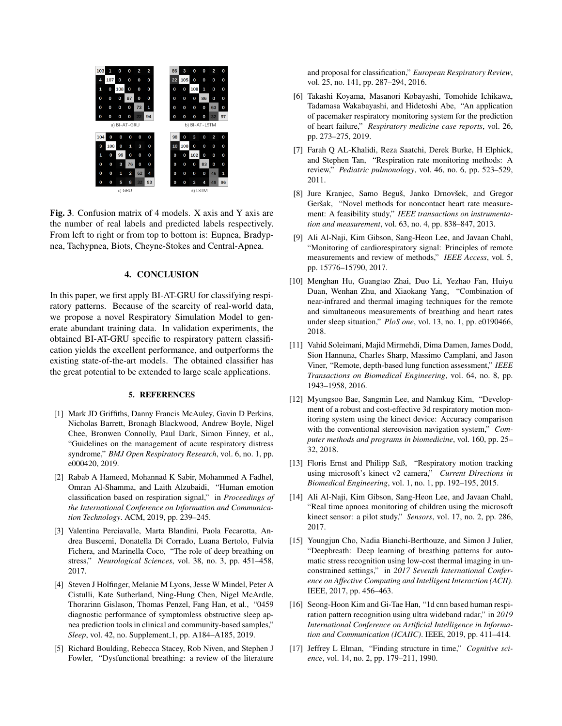

<span id="page-4-17"></span>Fig. 3. Confusion matrix of 4 models. X axis and Y axis are the number of real labels and predicted labels respectively. From left to right or from top to bottom is: Eupnea, Bradypnea, Tachypnea, Biots, Cheyne-Stokes and Central-Apnea.

# 4. CONCLUSION

In this paper, we first apply BI-AT-GRU for classifying respiratory patterns. Because of the scarcity of real-world data, we propose a novel Respiratory Simulation Model to generate abundant training data. In validation experiments, the obtained BI-AT-GRU specific to respiratory pattern classification yields the excellent performance, and outperforms the existing state-of-the-art models. The obtained classifier has the great potential to be extended to large scale applications.

#### 5. REFERENCES

- <span id="page-4-0"></span>[1] Mark JD Griffiths, Danny Francis McAuley, Gavin D Perkins, Nicholas Barrett, Bronagh Blackwood, Andrew Boyle, Nigel Chee, Bronwen Connolly, Paul Dark, Simon Finney, et al., "Guidelines on the management of acute respiratory distress syndrome," *BMJ Open Respiratory Research*, vol. 6, no. 1, pp. e000420, 2019.
- <span id="page-4-1"></span>[2] Rabab A Hameed, Mohannad K Sabir, Mohammed A Fadhel, Omran Al-Shamma, and Laith Alzubaidi, "Human emotion classification based on respiration signal," in *Proceedings of the International Conference on Information and Communication Technology*. ACM, 2019, pp. 239–245.
- <span id="page-4-2"></span>[3] Valentina Perciavalle, Marta Blandini, Paola Fecarotta, Andrea Buscemi, Donatella Di Corrado, Luana Bertolo, Fulvia Fichera, and Marinella Coco, "The role of deep breathing on stress," *Neurological Sciences*, vol. 38, no. 3, pp. 451–458, 2017.
- <span id="page-4-3"></span>[4] Steven J Holfinger, Melanie M Lyons, Jesse W Mindel, Peter A Cistulli, Kate Sutherland, Ning-Hung Chen, Nigel McArdle, Thorarinn Gislason, Thomas Penzel, Fang Han, et al., "0459 diagnostic performance of symptomless obstructive sleep apnea prediction tools in clinical and community-based samples," *Sleep*, vol. 42, no. Supplement<sub>-1</sub>, pp. A184-A185, 2019.
- <span id="page-4-4"></span>[5] Richard Boulding, Rebecca Stacey, Rob Niven, and Stephen J Fowler, "Dysfunctional breathing: a review of the literature

and proposal for classification," *European Respiratory Review*, vol. 25, no. 141, pp. 287–294, 2016.

- <span id="page-4-5"></span>[6] Takashi Koyama, Masanori Kobayashi, Tomohide Ichikawa, Tadamasa Wakabayashi, and Hidetoshi Abe, "An application of pacemaker respiratory monitoring system for the prediction of heart failure," *Respiratory medicine case reports*, vol. 26, pp. 273–275, 2019.
- <span id="page-4-6"></span>[7] Farah Q AL-Khalidi, Reza Saatchi, Derek Burke, H Elphick, and Stephen Tan, "Respiration rate monitoring methods: A review," *Pediatric pulmonology*, vol. 46, no. 6, pp. 523–529, 2011.
- <span id="page-4-7"></span>[8] Jure Kranjec, Samo Beguš, Janko Drnovšek, and Gregor Geršak, "Novel methods for noncontact heart rate measurement: A feasibility study," *IEEE transactions on instrumentation and measurement*, vol. 63, no. 4, pp. 838–847, 2013.
- <span id="page-4-8"></span>[9] Ali Al-Naji, Kim Gibson, Sang-Heon Lee, and Javaan Chahl, "Monitoring of cardiorespiratory signal: Principles of remote measurements and review of methods," *IEEE Access*, vol. 5, pp. 15776–15790, 2017.
- <span id="page-4-9"></span>[10] Menghan Hu, Guangtao Zhai, Duo Li, Yezhao Fan, Huiyu Duan, Wenhan Zhu, and Xiaokang Yang, "Combination of near-infrared and thermal imaging techniques for the remote and simultaneous measurements of breathing and heart rates under sleep situation," *PloS one*, vol. 13, no. 1, pp. e0190466, 2018.
- <span id="page-4-10"></span>[11] Vahid Soleimani, Majid Mirmehdi, Dima Damen, James Dodd, Sion Hannuna, Charles Sharp, Massimo Camplani, and Jason Viner, "Remote, depth-based lung function assessment," *IEEE Transactions on Biomedical Engineering*, vol. 64, no. 8, pp. 1943–1958, 2016.
- <span id="page-4-11"></span>[12] Myungsoo Bae, Sangmin Lee, and Namkug Kim, "Development of a robust and cost-effective 3d respiratory motion monitoring system using the kinect device: Accuracy comparison with the conventional stereovision navigation system," *Computer methods and programs in biomedicine*, vol. 160, pp. 25– 32, 2018.
- <span id="page-4-12"></span>[13] Floris Ernst and Philipp Saß, "Respiratory motion tracking using microsoft's kinect v2 camera," *Current Directions in Biomedical Engineering*, vol. 1, no. 1, pp. 192–195, 2015.
- <span id="page-4-13"></span>[14] Ali Al-Naji, Kim Gibson, Sang-Heon Lee, and Javaan Chahl, "Real time apnoea monitoring of children using the microsoft kinect sensor: a pilot study," *Sensors*, vol. 17, no. 2, pp. 286, 2017.
- <span id="page-4-14"></span>[15] Youngjun Cho, Nadia Bianchi-Berthouze, and Simon J Julier, "Deepbreath: Deep learning of breathing patterns for automatic stress recognition using low-cost thermal imaging in unconstrained settings," in *2017 Seventh International Conference on Affective Computing and Intelligent Interaction (ACII)*. IEEE, 2017, pp. 456–463.
- <span id="page-4-15"></span>[16] Seong-Hoon Kim and Gi-Tae Han, "1d cnn based human respiration pattern recognition using ultra wideband radar," in *2019 International Conference on Artificial Intelligence in Information and Communication (ICAIIC)*. IEEE, 2019, pp. 411–414.
- <span id="page-4-16"></span>[17] Jeffrey L Elman, "Finding structure in time," *Cognitive science*, vol. 14, no. 2, pp. 179–211, 1990.